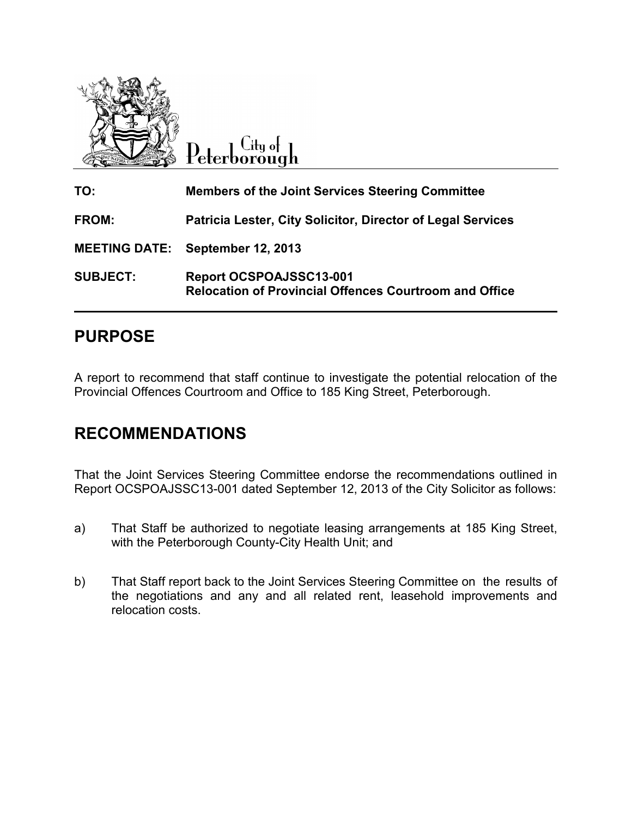

 $C$ ity of Peterborough

| TO:                  | <b>Members of the Joint Services Steering Committee</b>                                  |
|----------------------|------------------------------------------------------------------------------------------|
| <b>FROM:</b>         | Patricia Lester, City Solicitor, Director of Legal Services                              |
| <b>MEETING DATE:</b> | <b>September 12, 2013</b>                                                                |
| <b>SUBJECT:</b>      | Report OCSPOAJSSC13-001<br><b>Relocation of Provincial Offences Courtroom and Office</b> |

# **PURPOSE**

A report to recommend that staff continue to investigate the potential relocation of the Provincial Offences Courtroom and Office to 185 King Street, Peterborough.

# **RECOMMENDATIONS**

That the Joint Services Steering Committee endorse the recommendations outlined in Report OCSPOAJSSC13-001 dated September 12, 2013 of the City Solicitor as follows:

- a) That Staff be authorized to negotiate leasing arrangements at 185 King Street, with the Peterborough County-City Health Unit; and
- b) That Staff report back to the Joint Services Steering Committee on the results of the negotiations and any and all related rent, leasehold improvements and relocation costs.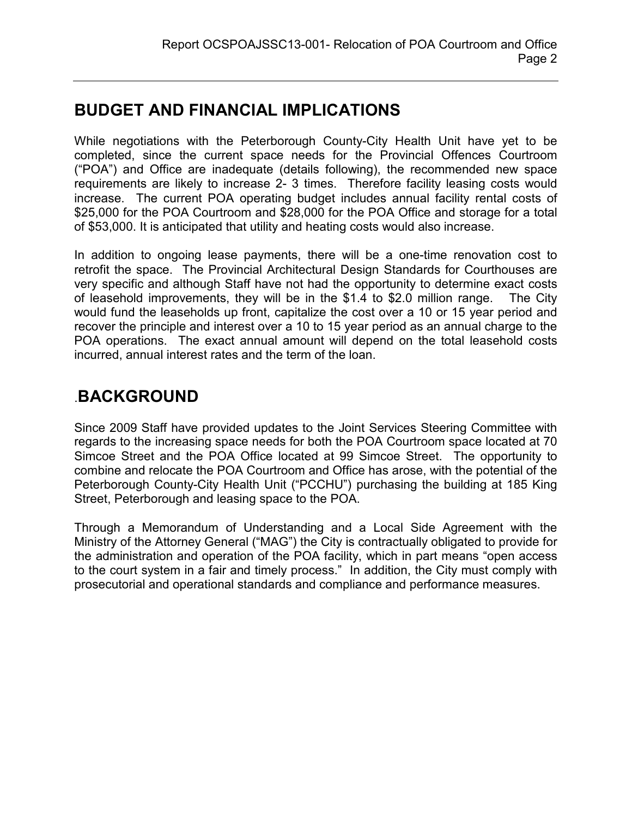# **BUDGET AND FINANCIAL IMPLICATIONS**

While negotiations with the Peterborough County-City Health Unit have yet to be completed, since the current space needs for the Provincial Offences Courtroom ("POA") and Office are inadequate (details following), the recommended new space requirements are likely to increase 2- 3 times. Therefore facility leasing costs would increase. The current POA operating budget includes annual facility rental costs of \$25,000 for the POA Courtroom and \$28,000 for the POA Office and storage for a total of \$53,000. It is anticipated that utility and heating costs would also increase.

In addition to ongoing lease payments, there will be a one-time renovation cost to retrofit the space. The Provincial Architectural Design Standards for Courthouses are very specific and although Staff have not had the opportunity to determine exact costs of leasehold improvements, they will be in the \$1.4 to \$2.0 million range. The City would fund the leaseholds up front, capitalize the cost over a 10 or 15 year period and recover the principle and interest over a 10 to 15 year period as an annual charge to the POA operations. The exact annual amount will depend on the total leasehold costs incurred, annual interest rates and the term of the loan.

# .**BACKGROUND**

Since 2009 Staff have provided updates to the Joint Services Steering Committee with regards to the increasing space needs for both the POA Courtroom space located at 70 Simcoe Street and the POA Office located at 99 Simcoe Street. The opportunity to combine and relocate the POA Courtroom and Office has arose, with the potential of the Peterborough County-City Health Unit ("PCCHU") purchasing the building at 185 King Street, Peterborough and leasing space to the POA.

Through a Memorandum of Understanding and a Local Side Agreement with the Ministry of the Attorney General ("MAG") the City is contractually obligated to provide for the administration and operation of the POA facility, which in part means "open access to the court system in a fair and timely process." In addition, the City must comply with prosecutorial and operational standards and compliance and performance measures.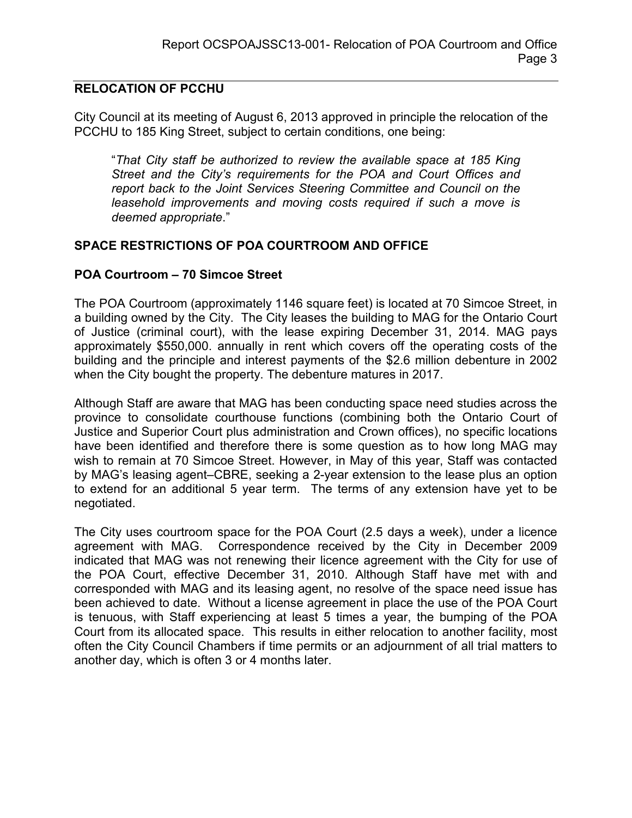#### **RELOCATION OF PCCHU**

City Council at its meeting of August 6, 2013 approved in principle the relocation of the PCCHU to 185 King Street, subject to certain conditions, one being:

"*That City staff be authorized to review the available space at 185 King Street and the City's requirements for the POA and Court Offices and report back to the Joint Services Steering Committee and Council on the leasehold improvements and moving costs required if such a move is deemed appropriate*."

#### **SPACE RESTRICTIONS OF POA COURTROOM AND OFFICE**

#### **POA Courtroom – 70 Simcoe Street**

The POA Courtroom (approximately 1146 square feet) is located at 70 Simcoe Street, in a building owned by the City. The City leases the building to MAG for the Ontario Court of Justice (criminal court), with the lease expiring December 31, 2014. MAG pays approximately \$550,000. annually in rent which covers off the operating costs of the building and the principle and interest payments of the \$2.6 million debenture in 2002 when the City bought the property. The debenture matures in 2017.

Although Staff are aware that MAG has been conducting space need studies across the province to consolidate courthouse functions (combining both the Ontario Court of Justice and Superior Court plus administration and Crown offices), no specific locations have been identified and therefore there is some question as to how long MAG may wish to remain at 70 Simcoe Street. However, in May of this year, Staff was contacted by MAG's leasing agent–CBRE, seeking a 2-year extension to the lease plus an option to extend for an additional 5 year term. The terms of any extension have yet to be negotiated.

The City uses courtroom space for the POA Court (2.5 days a week), under a licence agreement with MAG. Correspondence received by the City in December 2009 indicated that MAG was not renewing their licence agreement with the City for use of the POA Court, effective December 31, 2010. Although Staff have met with and corresponded with MAG and its leasing agent, no resolve of the space need issue has been achieved to date. Without a license agreement in place the use of the POA Court is tenuous, with Staff experiencing at least 5 times a year, the bumping of the POA Court from its allocated space. This results in either relocation to another facility, most often the City Council Chambers if time permits or an adjournment of all trial matters to another day, which is often 3 or 4 months later.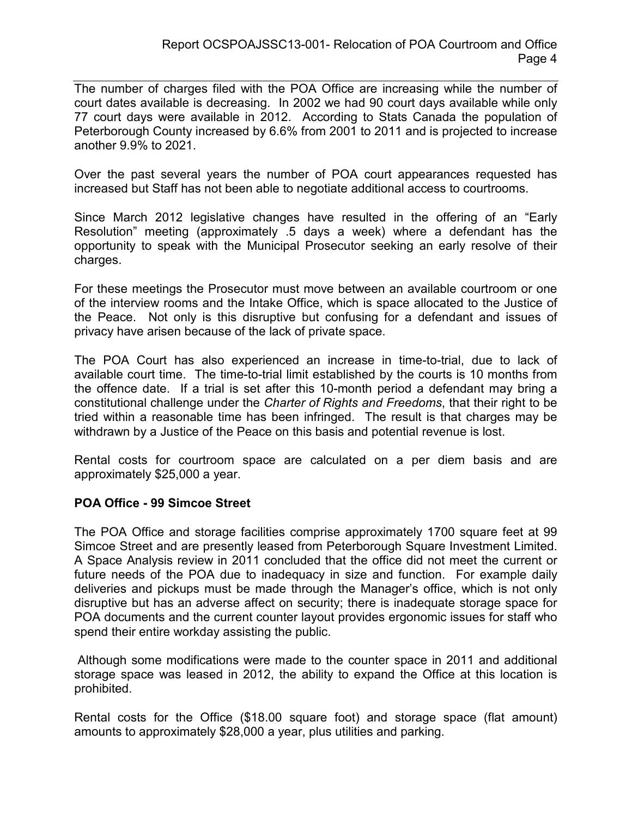The number of charges filed with the POA Office are increasing while the number of court dates available is decreasing. In 2002 we had 90 court days available while only 77 court days were available in 2012. According to Stats Canada the population of Peterborough County increased by 6.6% from 2001 to 2011 and is projected to increase another 9.9% to 2021.

Over the past several years the number of POA court appearances requested has increased but Staff has not been able to negotiate additional access to courtrooms.

Since March 2012 legislative changes have resulted in the offering of an "Early Resolution" meeting (approximately .5 days a week) where a defendant has the opportunity to speak with the Municipal Prosecutor seeking an early resolve of their charges.

For these meetings the Prosecutor must move between an available courtroom or one of the interview rooms and the Intake Office, which is space allocated to the Justice of the Peace. Not only is this disruptive but confusing for a defendant and issues of privacy have arisen because of the lack of private space.

The POA Court has also experienced an increase in time-to-trial, due to lack of available court time. The time-to-trial limit established by the courts is 10 months from the offence date. If a trial is set after this 10-month period a defendant may bring a constitutional challenge under the *Charter of Rights and Freedoms*, that their right to be tried within a reasonable time has been infringed. The result is that charges may be withdrawn by a Justice of the Peace on this basis and potential revenue is lost.

Rental costs for courtroom space are calculated on a per diem basis and are approximately \$25,000 a year.

#### **POA Office - 99 Simcoe Street**

The POA Office and storage facilities comprise approximately 1700 square feet at 99 Simcoe Street and are presently leased from Peterborough Square Investment Limited. A Space Analysis review in 2011 concluded that the office did not meet the current or future needs of the POA due to inadequacy in size and function. For example daily deliveries and pickups must be made through the Manager's office, which is not only disruptive but has an adverse affect on security; there is inadequate storage space for POA documents and the current counter layout provides ergonomic issues for staff who spend their entire workday assisting the public.

 Although some modifications were made to the counter space in 2011 and additional storage space was leased in 2012, the ability to expand the Office at this location is prohibited.

Rental costs for the Office (\$18.00 square foot) and storage space (flat amount) amounts to approximately \$28,000 a year, plus utilities and parking.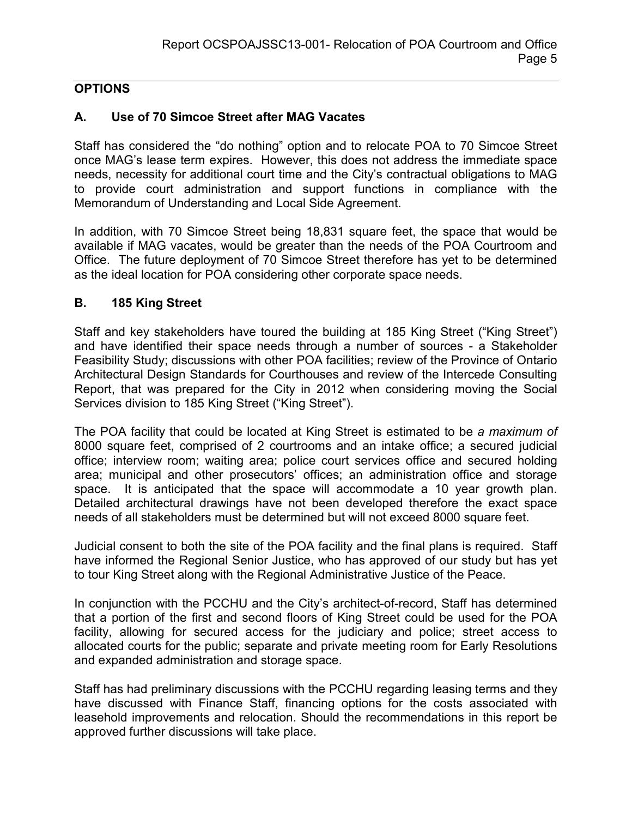## **OPTIONS**

### **A. Use of 70 Simcoe Street after MAG Vacates**

Staff has considered the "do nothing" option and to relocate POA to 70 Simcoe Street once MAG's lease term expires. However, this does not address the immediate space needs, necessity for additional court time and the City's contractual obligations to MAG to provide court administration and support functions in compliance with the Memorandum of Understanding and Local Side Agreement.

In addition, with 70 Simcoe Street being 18,831 square feet, the space that would be available if MAG vacates, would be greater than the needs of the POA Courtroom and Office. The future deployment of 70 Simcoe Street therefore has yet to be determined as the ideal location for POA considering other corporate space needs.

#### **B. 185 King Street**

Staff and key stakeholders have toured the building at 185 King Street ("King Street") and have identified their space needs through a number of sources - a Stakeholder Feasibility Study; discussions with other POA facilities; review of the Province of Ontario Architectural Design Standards for Courthouses and review of the Intercede Consulting Report, that was prepared for the City in 2012 when considering moving the Social Services division to 185 King Street ("King Street").

The POA facility that could be located at King Street is estimated to be *a maximum of* 8000 square feet, comprised of 2 courtrooms and an intake office; a secured judicial office; interview room; waiting area; police court services office and secured holding area; municipal and other prosecutors' offices; an administration office and storage space. It is anticipated that the space will accommodate a 10 year growth plan. Detailed architectural drawings have not been developed therefore the exact space needs of all stakeholders must be determined but will not exceed 8000 square feet.

Judicial consent to both the site of the POA facility and the final plans is required. Staff have informed the Regional Senior Justice, who has approved of our study but has yet to tour King Street along with the Regional Administrative Justice of the Peace.

In conjunction with the PCCHU and the City's architect-of-record, Staff has determined that a portion of the first and second floors of King Street could be used for the POA facility, allowing for secured access for the judiciary and police; street access to allocated courts for the public; separate and private meeting room for Early Resolutions and expanded administration and storage space.

Staff has had preliminary discussions with the PCCHU regarding leasing terms and they have discussed with Finance Staff, financing options for the costs associated with leasehold improvements and relocation. Should the recommendations in this report be approved further discussions will take place.